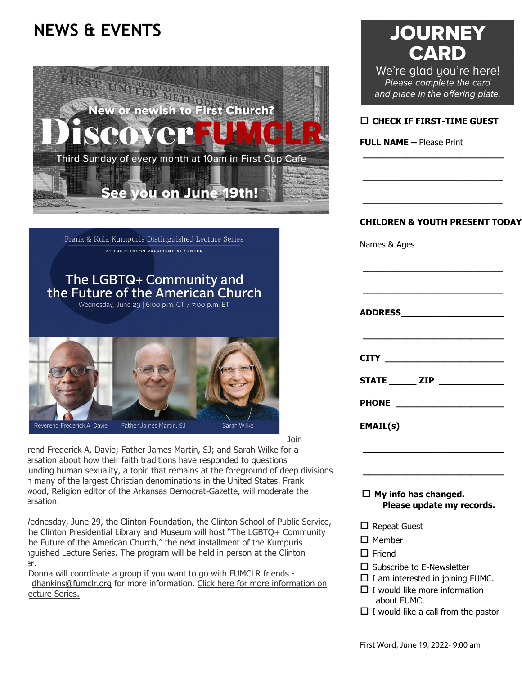# **NEWS & EVENTS**



Frank & Kula Kumpuris Distinguished Lecture Series AT THE CLINTON PRESIDENTIAL CENTER

## The LGBTQ+ Community and the Future of the American Church

Wednesday, June 29 | 6:00 p.m. CT / 7:00 p.m. ET



Join

rend Frederick A. Davie; Father James Martin, SJ; and Sarah Wilke for a ersation about how their faith traditions have responded to questions unding human sexuality, a topic that remains at the foreground of deep divisions n many of the largest Christian denominations in the United States. Frank wood, Religion editor of the Arkansas Democrat-Gazette, will moderate the ersation.

 Wednesday, June 29, the Clinton Foundation, the Clinton School of Public Service, he Clinton Presidential Library and Museum will host "The LGBTQ+ Community he Future of the American Church," the next installment of the Kumpuris nguished Lecture Series. The program will be held in person at the Clinton er.

 Donna will coordinate a group if you want to go with FUMCLR friends [dhankins@fumclr.org](mailto:dhankins@fumclr.org) for more information. [Click here for more information on](https://www.clintonfoundation.org/events/clinton-presidential-center/kumpuris-lecture-the-lgbtq-community-and-the-future-of-the-american-church/?utm_campaign=cpc_news&utm_source=20220602cpc&utm_medium=email&emci=e883f38f-f3d6-ec11-b656-281878b8c32f&emdi=4e55c77b-90e2-ec11-b656-281878b85110&ceid=236962)   [ecture Series.](https://www.clintonfoundation.org/events/clinton-presidential-center/kumpuris-lecture-the-lgbtq-community-and-the-future-of-the-american-church/?utm_campaign=cpc_news&utm_source=20220602cpc&utm_medium=email&emci=e883f38f-f3d6-ec11-b656-281878b8c32f&emdi=4e55c77b-90e2-ec11-b656-281878b85110&ceid=236962)

# **JOURNEY CARD**

We're glad you're here! Please complete the card and place in the offering plate.

#### **CHECK IF FIRST-TIME GUEST**

**\_\_\_\_\_\_\_\_\_\_\_\_\_\_\_\_\_\_\_\_\_\_\_\_\_\_** 

 $\_$ 

 $\_$ 

**FULL NAME –** Please Print

#### **CHILDREN & YOUTH PRESENT TODAY**

\_\_\_\_\_\_\_\_\_\_\_\_\_\_\_\_\_\_\_\_\_\_\_\_\_\_\_\_\_\_

 $\_$ 

Names & Ages

| STATE _______ ZIP ______________ |  |  |
|----------------------------------|--|--|
|                                  |  |  |
| <b>EMAIL(s)</b>                  |  |  |

 **My info has changed. Please update my records.**

**\_\_\_\_\_\_\_\_\_\_\_\_\_\_\_\_\_\_\_\_\_\_\_\_\_\_** 

**\_\_\_\_\_\_\_\_\_\_\_\_\_\_\_\_\_\_\_\_\_\_\_\_\_\_** 

- Repeat Guest
- □ Member
- □ Friend
- □ Subscribe to E-Newsletter
- $\Box$  I am interested in joining FUMC.
- $\Box$  I would like more information about FUMC.
- $\Box$  I would like a call from the pastor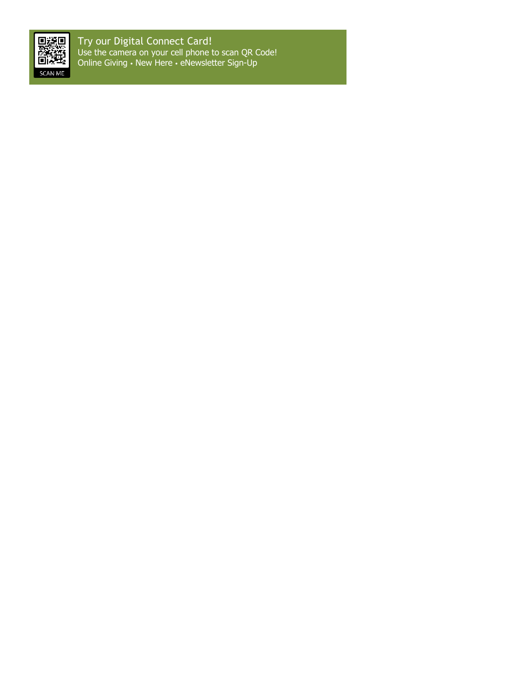

Try our Digital Connect Card! Use the camera on your cell phone to scan QR Code! Online Giving ● New Here ● eNewsletter Sign-Up